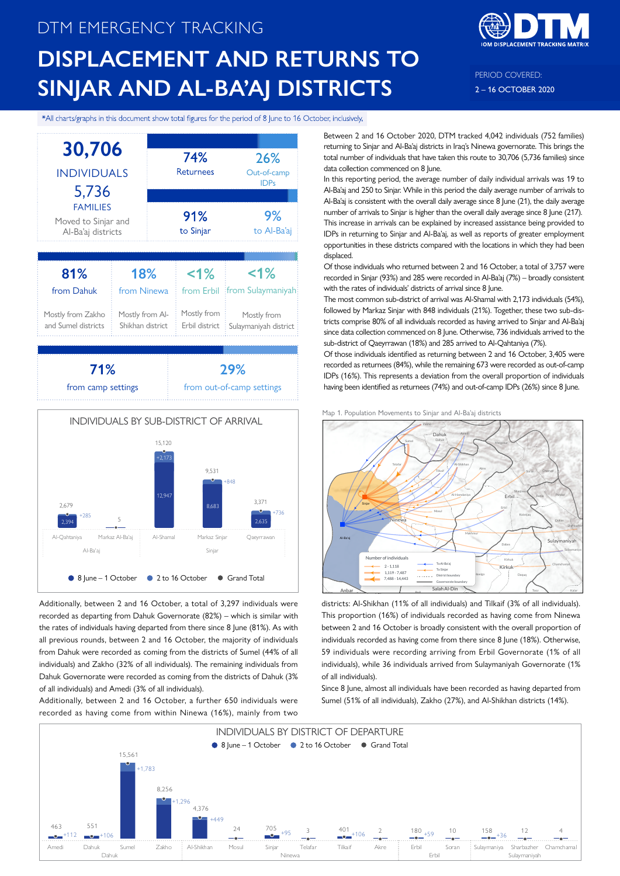# DTM EMERGENCY TRACKING **DISPLACEMENT AND RETURNS TO SINJAR AND AL-BA'AJ DISTRICTS**



PERIOD COVERED: 2 – 16 OCTOBER 2020

#### \*All charts/graphs in this document show total figures for the period of 8 June to 16 October, inclusively.



Additionally, between 2 and 16 October, a total of 3,297 individuals were recorded as departing from Dahuk Governorate (82%) – which is similar with the rates of individuals having departed from there since 8 June (81%). As with all previous rounds, between 2 and 16 October, the majority of individuals from Dahuk were recorded as coming from the districts of Sumel (44% of all individuals) and Zakho (32% of all individuals). The remaining individuals from Dahuk Governorate were recorded as coming from the districts of Dahuk (3% of all individuals) and Amedi (3% of all individuals).

Additionally, between 2 and 16 October, a further 650 individuals were recorded as having come from within Ninewa (16%), mainly from two Between 2 and 16 October 2020, DTM tracked 4,042 individuals (752 families) returning to Sinjar and Al-Ba'aj districts in Iraq's Ninewa governorate. This brings the total number of individuals that have taken this route to 30,706 (5,736 families) since data collection commenced on 8 June.

In this reporting period, the average number of daily individual arrivals was 19 to Al-Ba'aj and 250 to Sinjar. While in this period the daily average number of arrivals to Al-Ba'aj is consistent with the overall daily average since 8 June (21), the daily average number of arrivals to Sinjar is higher than the overall daily average since 8 June (217). This increase in arrivals can be explained by increased assistance being provided to IDPs in returning to Sinjar and Al-Ba'aj, as well as reports of greater employment opportunities in these districts compared with the locations in which they had been displaced.

Of those individuals who returned between 2 and 16 October, a total of 3,757 were recorded in Sinjar (93%) and 285 were recorded in Al-Ba'aj (7%) – broadly consistent with the rates of individuals' districts of arrival since 8 June.

The most common sub-district of arrival was Al-Shamal with 2,173 individuals (54%), followed by Markaz Sinjar with 848 individuals (21%). Together, these two sub-districts comprise 80% of all individuals recorded as having arrived to Sinjar and Al-Ba'aj since data collection commenced on 8 June. Otherwise, 736 individuals arrived to the sub-district of Qaeyrrawan (18%) and 285 arrived to Al-Qahtaniya (7%).

Of those individuals identified as returning between 2 and 16 October, 3,405 were recorded as returnees (84%), while the remaining 673 were recorded as out-of-camp IDPs (16%). This represents a deviation from the overall proportion of individuals having been identified as returnees (74%) and out-of-camp IDPs (26%) since 8 June.





districts: Al-Shikhan (11% of all individuals) and Tilkaif (3% of all individuals). This proportion (16%) of individuals recorded as having come from Ninewa between 2 and 16 October is broadly consistent with the overall proportion of individuals recorded as having come from there since 8 June (18%). Otherwise, 59 individuals were recording arriving from Erbil Governorate (1% of all individuals), while 36 individuals arrived from Sulaymaniyah Governorate (1% of all individuals).

Since 8 June, almost all individuals have been recorded as having departed from Sumel (51% of all individuals), Zakho (27%), and Al-Shikhan districts (14%).